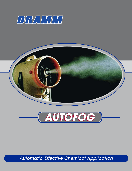



Automatic, Effective Chemical Application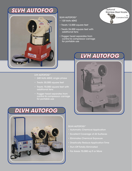### SLVH AUTOFOG



#### SLVH AUTOFOG™

- 120 Volts 60HZ
- Treats 12,000 square feet
- Treats 26,000 square feet with additional fans
- Fogger head separates from control & compressor carriage for portable use



- 240 Volts 60HZ, single phase
- Treats 30,000 square feet
- Treats 70,000 square feet with additional fans
- Fogger head separates from control & compressor carriage for portable use



## **LVH AUTOFOG**



#### DLVH AUTOFOG™

- Automatic Chemical Application
- Excellent Coverage of All Surfaces
- Eliminates Chemical Exposure
- Drastically Reduce Application Time
- Run–Off Totally Eliminated
- For Areas 70,000 sq ft or More

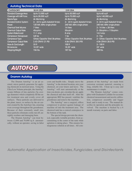### **Autofog Technical Data**

| <b>CATEGORY</b>                 | <b>SLVH 20A</b>                          | <b>LVH 20A</b>                           | <b>DLVH</b>                           |
|---------------------------------|------------------------------------------|------------------------------------------|---------------------------------------|
| Standard Coverage Area          | Up to 12,000 sqft                        | Up to 30,000 sqft                        | Upto 60 sqft                          |
| Coverage with HAF Fans:         | Up to 28,000 sqft                        | Up to 70,000 sqft                        | Up to 140,000 sqft                    |
| NazleType:                      | Air Atomizing                            | Air Atomizing                            | Air Atomizing                         |
| <b>Standard Control System:</b> | 2- 24 hr quartz Autostart timers         | 2- 24 hr quartz Autostart timers         | 3-24 hr quart Autostart timers        |
| Power:                          | 120 Vdt, 60hz single phase               | 240 Vdt, 60hz single phase               | 240 Vdt, 60hz single phase            |
| Chemical Tank Valume:           | 7 liters                                 | 14 liters                                | $2 - 14$ liter = 28 liters            |
| <b>Chemical Cultput Rate:</b>   | $45$ c $\alpha$ min                      | $55oc$ <i>m</i> in                       | $2 - 55$ cc/min = 110cc/min           |
| System Rated Load               | $11.1 \text{ cm}$                        | 8 amp                                    | $14.2$ amp                            |
| Compressor Horsepower:          | $3/4$ hp                                 | 1 <sub>hp</sub>                          | $2 - 1$ hp                            |
| Compressor Type:                | <b>Alless Capacitor Start, Brushless</b> | <b>Alless Capacitar Start, Brushless</b> | 2- Cilless Capacitar Start, Brushless |
| Compressor Cultput Rate:        | 2.43 CFM@ 21 PSI                         | 4.06 CFM@ 28.5 PSI                       | 4.06 CFM@ 28.5 PSI                    |
| Hose & Cord Length:             | 33 <sub>ft</sub>                         | $100$ ff                                 | $2 - 100$ ff                          |
| Dimensions:                     | 18.25" wide                              | 18.25" wide                              | $23''$ wide                           |
| Shipping Weight:                | $156$ lbs.                               | $187$ lbs.                               | $300$ lbs.                            |

# **AUTOFOG**

### **Dramm Autofog**

The Dramm Autofog<sup>™</sup> is an air assisted, micro particle generator for applying chemicals in enclosed areas. Using the Ultra Low Volume principle, the Autofog<sup>™</sup> creates billions of tiny particles  $(5\mu$  average diameter) which completely fill the entire treatment area and evenly cover all surfaces. These particles are delivered to the plant, insect, or surface by the air current created by the Autofog's fan, ensuring even coverage throughout the greenhouse. Because of their extremely small size, these particles eliminate costly run off, unsightly residues and damaging burn.

 The Dramm Autofog™ can treat between 12,000 and 70,000 sq ft automatically, without an operator, saving in labor

costs and health risks. Simply move the Autofog™ to the desired location, mix your chemical, set your timers and leave. The Autofog<sup>™</sup> will start automatically at the time you desire, pre–circulate the air, apply the chemical and shut itself off. After the appropriate REI has passed, ventilate the greenhouse and remove the machine.

 The Autofog™ uses a surgical, oilless compressor to protect against leakage of machine oil into the treatment area. The chemical tank has a conical centerpiece in the bottom of the tank.

 The special design prevents the chemical, especially wettable powders, from accumulating in the center of the tank while agitation is taking place. This ensures homogeneous solution at all times. All components of the Autofog<sup>™</sup> are made from corrosion resistant material, ensuring a long, reliable life. Clean up is easy and maintenance is simple.

 The Dramm Autofog™ comes complete with Graduated Cylinder for accurate chemical measurement and nozzle calibration, compressor assembly and fogger head, and is ready to use. The manual describes its operation and the principles involved. The machine is backed by a 6 month warranty on parts and labor.

Automatic Application of Insecticides, Fungicides, and Disinfectants